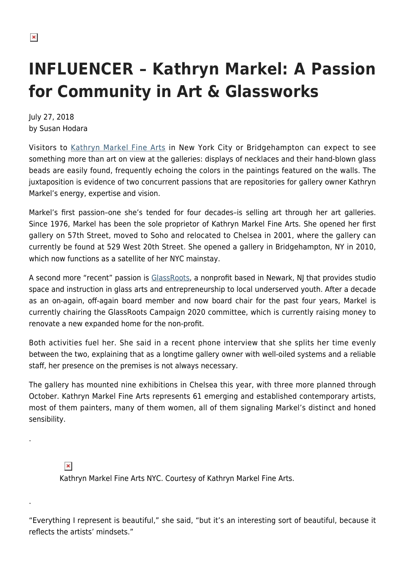## **INFLUENCER – Kathryn Markel: A Passion for Community in Art & Glassworks**

July 27, 2018 by Susan Hodara

Visitors to [Kathryn Markel Fine Arts](https://www.markelfinearts.com/) in New York City or Bridgehampton can expect to see something more than art on view at the galleries: displays of necklaces and their hand-blown glass beads are easily found, frequently echoing the colors in the paintings featured on the walls. The juxtaposition is evidence of two concurrent passions that are repositories for gallery owner Kathryn Markel's energy, expertise and vision.

Markel's first passion–one she's tended for four decades–is selling art through her art galleries. Since 1976, Markel has been the sole proprietor of Kathryn Markel Fine Arts. She opened her first gallery on 57th Street, moved to Soho and relocated to Chelsea in 2001, where the gallery can currently be found at 529 West 20th Street. She opened a gallery in Bridgehampton, NY in 2010, which now functions as a satellite of her NYC mainstay.

A second more "recent" passion is [GlassRoots,](http://www.glassroots.org/) a nonprofit based in Newark, NJ that provides studio space and instruction in glass arts and entrepreneurship to local underserved youth. After a decade as an on-again, off-again board member and now board chair for the past four years, Markel is currently chairing the GlassRoots Campaign 2020 committee, which is currently raising money to renovate a new expanded home for the non-profit.

Both activities fuel her. She said in a recent phone interview that she splits her time evenly between the two, explaining that as a longtime gallery owner with well-oiled systems and a reliable staff, her presence on the premises is not always necessary.

The gallery has mounted nine exhibitions in Chelsea this year, with three more planned through October. Kathryn Markel Fine Arts represents 61 emerging and established contemporary artists, most of them painters, many of them women, all of them signaling Markel's distinct and honed sensibility.

 $\pmb{\times}$ 

.

.

Kathryn Markel Fine Arts NYC. Courtesy of Kathryn Markel Fine Arts.

"Everything I represent is beautiful," she said, "but it's an interesting sort of beautiful, because it reflects the artists' mindsets."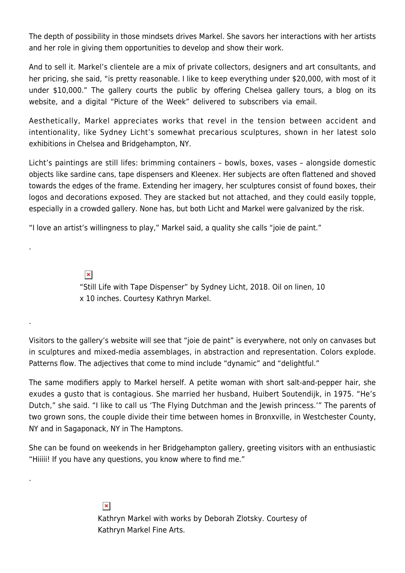The depth of possibility in those mindsets drives Markel. She savors her interactions with her artists and her role in giving them opportunities to develop and show their work.

And to sell it. Markel's clientele are a mix of private collectors, designers and art consultants, and her pricing, she said, "is pretty reasonable. I like to keep everything under \$20,000, with most of it under \$10,000." The gallery courts the public by offering Chelsea gallery tours, a blog on its website, and a digital "Picture of the Week" delivered to subscribers via email.

Aesthetically, Markel appreciates works that revel in the tension between accident and intentionality, like Sydney Licht's somewhat precarious sculptures, shown in her latest solo exhibitions in Chelsea and Bridgehampton, NY.

Licht's paintings are still lifes: brimming containers – bowls, boxes, vases – alongside domestic objects like sardine cans, tape dispensers and Kleenex. Her subjects are often flattened and shoved towards the edges of the frame. Extending her imagery, her sculptures consist of found boxes, their logos and decorations exposed. They are stacked but not attached, and they could easily topple, especially in a crowded gallery. None has, but both Licht and Markel were galvanized by the risk.

"I love an artist's willingness to play," Markel said, a quality she calls "joie de paint."

.

.

.

 $\pmb{\times}$ "Still Life with Tape Dispenser" by Sydney Licht, 2018. Oil on linen, 10 x 10 inches. Courtesy Kathryn Markel.

Visitors to the gallery's website will see that "joie de paint" is everywhere, not only on canvases but in sculptures and mixed-media assemblages, in abstraction and representation. Colors explode. Patterns flow. The adjectives that come to mind include "dynamic" and "delightful."

The same modifiers apply to Markel herself. A petite woman with short salt-and-pepper hair, she exudes a gusto that is contagious. She married her husband, Huibert Soutendijk, in 1975. "He's Dutch," she said. "I like to call us 'The Flying Dutchman and the Jewish princess.'" The parents of two grown sons, the couple divide their time between homes in Bronxville, in Westchester County, NY and in Sagaponack, NY in The Hamptons.

She can be found on weekends in her Bridgehampton gallery, greeting visitors with an enthusiastic "Hiiiii! If you have any questions, you know where to find me."

> $\pmb{\times}$ Kathryn Markel with works by Deborah Zlotsky. Courtesy of Kathryn Markel Fine Arts.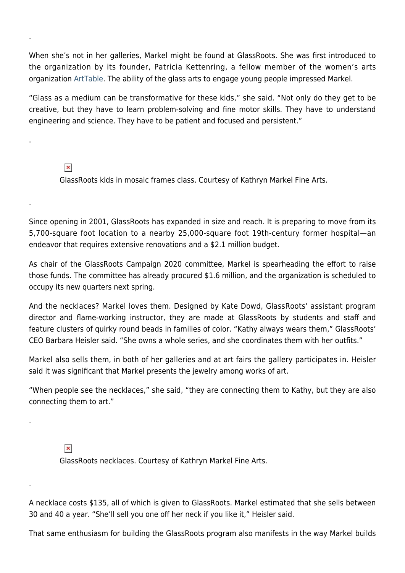When she's not in her galleries, Markel might be found at GlassRoots. She was first introduced to the organization by its founder, Patricia Kettenring, a fellow member of the women's arts organization [ArtTable.](https://www.arttable.org/) The ability of the glass arts to engage young people impressed Markel.

"Glass as a medium can be transformative for these kids," she said. "Not only do they get to be creative, but they have to learn problem-solving and fine motor skills. They have to understand engineering and science. They have to be patient and focused and persistent."

## $\pmb{\times}$

.

.

.

.

.

GlassRoots kids in mosaic frames class. Courtesy of Kathryn Markel Fine Arts.

Since opening in 2001, GlassRoots has expanded in size and reach. It is preparing to move from its 5,700-square foot location to a nearby 25,000-square foot 19th-century former hospital—an endeavor that requires extensive renovations and a \$2.1 million budget.

As chair of the GlassRoots Campaign 2020 committee, Markel is spearheading the effort to raise those funds. The committee has already procured \$1.6 million, and the organization is scheduled to occupy its new quarters next spring.

And the necklaces? Markel loves them. Designed by Kate Dowd, GlassRoots' assistant program director and flame-working instructor, they are made at GlassRoots by students and staff and feature clusters of quirky round beads in families of color. "Kathy always wears them," GlassRoots' CEO Barbara Heisler said. "She owns a whole series, and she coordinates them with her outfits."

Markel also sells them, in both of her galleries and at art fairs the gallery participates in. Heisler said it was significant that Markel presents the jewelry among works of art.

"When people see the necklaces," she said, "they are connecting them to Kathy, but they are also connecting them to art."

 $\pmb{\times}$ 

GlassRoots necklaces. Courtesy of Kathryn Markel Fine Arts.

A necklace costs \$135, all of which is given to GlassRoots. Markel estimated that she sells between 30 and 40 a year. "She'll sell you one off her neck if you like it," Heisler said.

That same enthusiasm for building the GlassRoots program also manifests in the way Markel builds